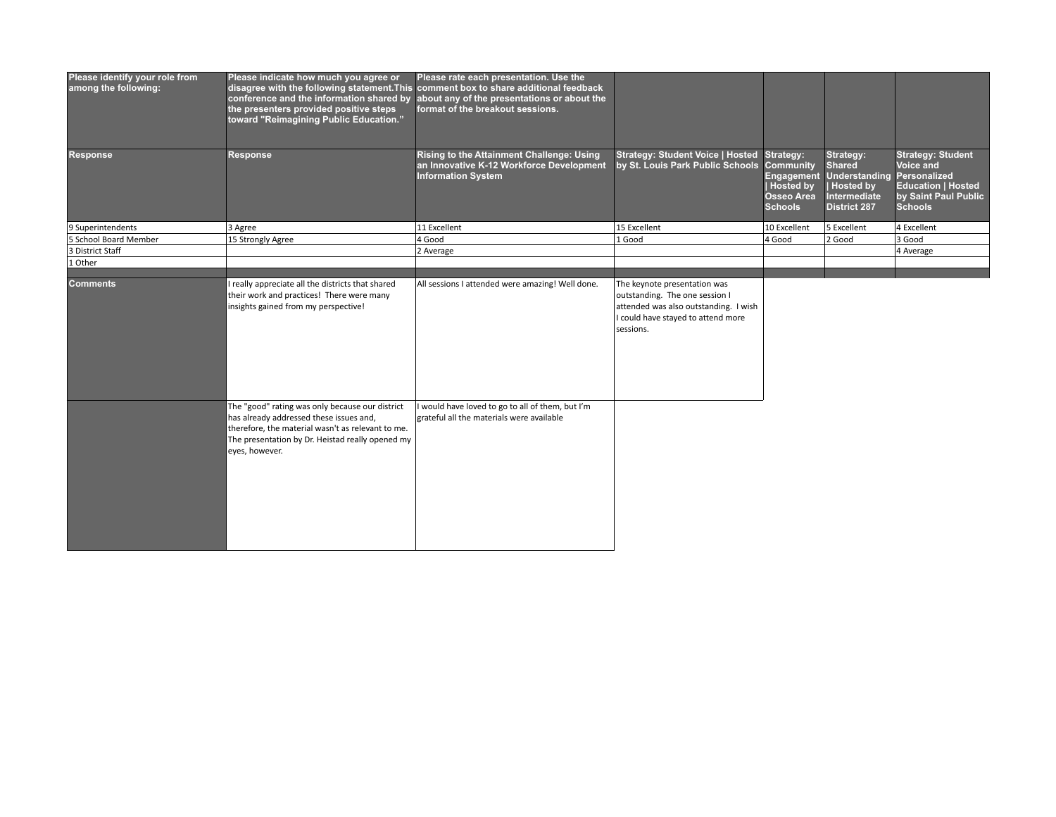| Please identify your role from<br>among the following: | Please indicate how much you agree or<br>conference and the information shared by<br>the presenters provided positive steps<br>toward "Reimagining Public Education."                     | Please rate each presentation. Use the<br>disagree with the following statement. This comment box to share additional feedback<br>about any of the presentations or about the<br>format of the breakout sessions. |                                                                                                                                                            |                                                                                                 |                                                                                                               |                                                                                                                              |
|--------------------------------------------------------|-------------------------------------------------------------------------------------------------------------------------------------------------------------------------------------------|-------------------------------------------------------------------------------------------------------------------------------------------------------------------------------------------------------------------|------------------------------------------------------------------------------------------------------------------------------------------------------------|-------------------------------------------------------------------------------------------------|---------------------------------------------------------------------------------------------------------------|------------------------------------------------------------------------------------------------------------------------------|
| Response                                               | <b>Response</b>                                                                                                                                                                           | Rising to the Attainment Challenge: Using<br>an Innovative K-12 Workforce Development<br><b>Information System</b>                                                                                                | <b>Strategy: Student Voice   Hosted</b><br>by St. Louis Park Public Schools                                                                                | Strategy:<br>Community<br>Engagement<br><b>Hosted by</b><br><b>Osseo Area</b><br><b>Schools</b> | Strategy:<br><b>Shared</b><br><b>Understanding</b><br><b>Hosted by</b><br>Intermediate<br><b>District 287</b> | <b>Strategy: Student</b><br>Voice and<br>Personalized<br><b>Education   Hosted</b><br>by Saint Paul Public<br><b>Schools</b> |
| 9 Superintendents                                      | 3 Agree                                                                                                                                                                                   | 11 Excellent                                                                                                                                                                                                      | 15 Excellent                                                                                                                                               | 10 Excellent                                                                                    | 5 Excellent                                                                                                   | 4 Excellent                                                                                                                  |
| 5 School Board Member                                  | 15 Strongly Agree                                                                                                                                                                         | 4 Good                                                                                                                                                                                                            | 1 Good                                                                                                                                                     | 4 Good                                                                                          | 2 Good                                                                                                        | 3 Good                                                                                                                       |
| 3 District Staff                                       |                                                                                                                                                                                           | 2 Average                                                                                                                                                                                                         |                                                                                                                                                            |                                                                                                 |                                                                                                               | 4 Average                                                                                                                    |
| 1 Other                                                |                                                                                                                                                                                           |                                                                                                                                                                                                                   |                                                                                                                                                            |                                                                                                 |                                                                                                               |                                                                                                                              |
| <b>Comments</b>                                        | I really appreciate all the districts that shared<br>their work and practices! There were many<br>insights gained from my perspective!<br>The "good" rating was only because our district | All sessions I attended were amazing! Well done.<br>I would have loved to go to all of them, but I'm                                                                                                              | The keynote presentation was<br>outstanding. The one session I<br>attended was also outstanding. I wish<br>I could have stayed to attend more<br>sessions. |                                                                                                 |                                                                                                               |                                                                                                                              |
|                                                        | has already addressed these issues and,<br>therefore, the material wasn't as relevant to me.<br>The presentation by Dr. Heistad really opened my<br>eyes, however.                        | grateful all the materials were available                                                                                                                                                                         |                                                                                                                                                            |                                                                                                 |                                                                                                               |                                                                                                                              |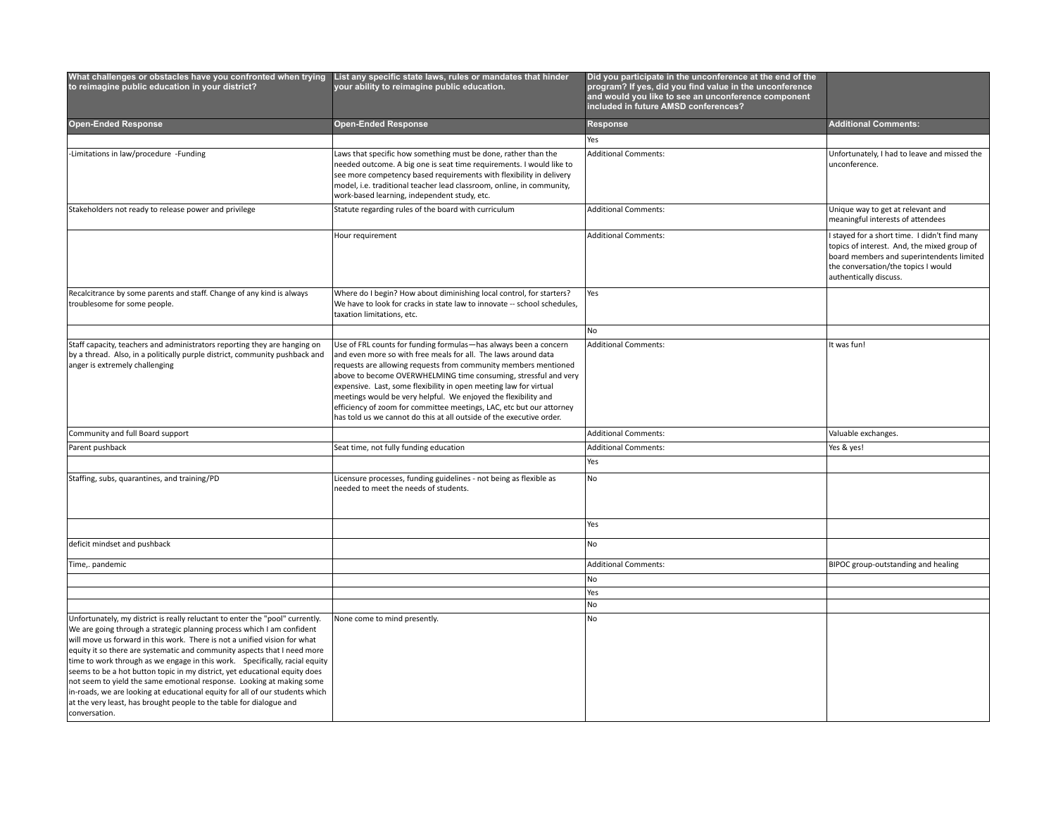| What challenges or obstacles have you confronted when trying List any specific state laws, rules or mandates that hinder<br>to reimagine public education in your district?                                                                                                                                                                                                                                                                                                                                                                                                                                                                                                                                                    | your ability to reimagine public education.                                                                                                                                                                                                                                                                                                                                                                                                                                                                                                                     | Did you participate in the unconference at the end of the<br>program? If yes, did you find value in the unconference<br>and would you like to see an unconference component<br>included in future AMSD conferences? |                                                                                                                                                                                                            |
|--------------------------------------------------------------------------------------------------------------------------------------------------------------------------------------------------------------------------------------------------------------------------------------------------------------------------------------------------------------------------------------------------------------------------------------------------------------------------------------------------------------------------------------------------------------------------------------------------------------------------------------------------------------------------------------------------------------------------------|-----------------------------------------------------------------------------------------------------------------------------------------------------------------------------------------------------------------------------------------------------------------------------------------------------------------------------------------------------------------------------------------------------------------------------------------------------------------------------------------------------------------------------------------------------------------|---------------------------------------------------------------------------------------------------------------------------------------------------------------------------------------------------------------------|------------------------------------------------------------------------------------------------------------------------------------------------------------------------------------------------------------|
| <b>Open-Ended Response</b>                                                                                                                                                                                                                                                                                                                                                                                                                                                                                                                                                                                                                                                                                                     | <b>Open-Ended Response</b>                                                                                                                                                                                                                                                                                                                                                                                                                                                                                                                                      | Response                                                                                                                                                                                                            | <b>Additional Comments:</b>                                                                                                                                                                                |
|                                                                                                                                                                                                                                                                                                                                                                                                                                                                                                                                                                                                                                                                                                                                |                                                                                                                                                                                                                                                                                                                                                                                                                                                                                                                                                                 | Yes                                                                                                                                                                                                                 |                                                                                                                                                                                                            |
| -Limitations in law/procedure -Funding                                                                                                                                                                                                                                                                                                                                                                                                                                                                                                                                                                                                                                                                                         | Laws that specific how something must be done, rather than the<br>needed outcome. A big one is seat time requirements. I would like to<br>see more competency based requirements with flexibility in delivery<br>model, i.e. traditional teacher lead classroom, online, in community,<br>work-based learning, independent study, etc.                                                                                                                                                                                                                          | <b>Additional Comments:</b>                                                                                                                                                                                         | Unfortunately, I had to leave and missed the<br>unconference.                                                                                                                                              |
| Stakeholders not ready to release power and privilege                                                                                                                                                                                                                                                                                                                                                                                                                                                                                                                                                                                                                                                                          | Statute regarding rules of the board with curriculum                                                                                                                                                                                                                                                                                                                                                                                                                                                                                                            | <b>Additional Comments:</b>                                                                                                                                                                                         | Unique way to get at relevant and<br>meaningful interests of attendees                                                                                                                                     |
|                                                                                                                                                                                                                                                                                                                                                                                                                                                                                                                                                                                                                                                                                                                                | Hour requirement                                                                                                                                                                                                                                                                                                                                                                                                                                                                                                                                                | <b>Additional Comments:</b>                                                                                                                                                                                         | I stayed for a short time. I didn't find many<br>topics of interest. And, the mixed group of<br>board members and superintendents limited<br>the conversation/the topics I would<br>authentically discuss. |
| Recalcitrance by some parents and staff. Change of any kind is always<br>troublesome for some people.                                                                                                                                                                                                                                                                                                                                                                                                                                                                                                                                                                                                                          | Where do I begin? How about diminishing local control, for starters?<br>We have to look for cracks in state law to innovate -- school schedules,<br>taxation limitations, etc.                                                                                                                                                                                                                                                                                                                                                                                  | Yes                                                                                                                                                                                                                 |                                                                                                                                                                                                            |
|                                                                                                                                                                                                                                                                                                                                                                                                                                                                                                                                                                                                                                                                                                                                |                                                                                                                                                                                                                                                                                                                                                                                                                                                                                                                                                                 | No                                                                                                                                                                                                                  |                                                                                                                                                                                                            |
| Staff capacity, teachers and administrators reporting they are hanging on<br>by a thread. Also, in a politically purple district, community pushback and<br>anger is extremely challenging                                                                                                                                                                                                                                                                                                                                                                                                                                                                                                                                     | Use of FRL counts for funding formulas-has always been a concern<br>and even more so with free meals for all. The laws around data<br>requests are allowing requests from community members mentioned<br>above to become OVERWHELMING time consuming, stressful and very<br>expensive. Last, some flexibility in open meeting law for virtual<br>meetings would be very helpful. We enjoyed the flexibility and<br>efficiency of zoom for committee meetings, LAC, etc but our attorney<br>has told us we cannot do this at all outside of the executive order. | <b>Additional Comments:</b>                                                                                                                                                                                         | It was fun!                                                                                                                                                                                                |
| Community and full Board support                                                                                                                                                                                                                                                                                                                                                                                                                                                                                                                                                                                                                                                                                               |                                                                                                                                                                                                                                                                                                                                                                                                                                                                                                                                                                 | <b>Additional Comments:</b>                                                                                                                                                                                         | Valuable exchanges.                                                                                                                                                                                        |
| Parent pushback                                                                                                                                                                                                                                                                                                                                                                                                                                                                                                                                                                                                                                                                                                                | Seat time, not fully funding education                                                                                                                                                                                                                                                                                                                                                                                                                                                                                                                          | Additional Comments:                                                                                                                                                                                                | Yes & yes!                                                                                                                                                                                                 |
|                                                                                                                                                                                                                                                                                                                                                                                                                                                                                                                                                                                                                                                                                                                                |                                                                                                                                                                                                                                                                                                                                                                                                                                                                                                                                                                 | Yes                                                                                                                                                                                                                 |                                                                                                                                                                                                            |
| Staffing, subs, quarantines, and training/PD                                                                                                                                                                                                                                                                                                                                                                                                                                                                                                                                                                                                                                                                                   | Licensure processes, funding guidelines - not being as flexible as<br>needed to meet the needs of students.                                                                                                                                                                                                                                                                                                                                                                                                                                                     | No                                                                                                                                                                                                                  |                                                                                                                                                                                                            |
|                                                                                                                                                                                                                                                                                                                                                                                                                                                                                                                                                                                                                                                                                                                                |                                                                                                                                                                                                                                                                                                                                                                                                                                                                                                                                                                 | Yes                                                                                                                                                                                                                 |                                                                                                                                                                                                            |
| deficit mindset and pushback                                                                                                                                                                                                                                                                                                                                                                                                                                                                                                                                                                                                                                                                                                   |                                                                                                                                                                                                                                                                                                                                                                                                                                                                                                                                                                 | No                                                                                                                                                                                                                  |                                                                                                                                                                                                            |
| Time,. pandemic                                                                                                                                                                                                                                                                                                                                                                                                                                                                                                                                                                                                                                                                                                                |                                                                                                                                                                                                                                                                                                                                                                                                                                                                                                                                                                 | Additional Comments:                                                                                                                                                                                                | BIPOC group-outstanding and healing                                                                                                                                                                        |
|                                                                                                                                                                                                                                                                                                                                                                                                                                                                                                                                                                                                                                                                                                                                |                                                                                                                                                                                                                                                                                                                                                                                                                                                                                                                                                                 | No                                                                                                                                                                                                                  |                                                                                                                                                                                                            |
|                                                                                                                                                                                                                                                                                                                                                                                                                                                                                                                                                                                                                                                                                                                                |                                                                                                                                                                                                                                                                                                                                                                                                                                                                                                                                                                 | <b>Yes</b>                                                                                                                                                                                                          |                                                                                                                                                                                                            |
|                                                                                                                                                                                                                                                                                                                                                                                                                                                                                                                                                                                                                                                                                                                                |                                                                                                                                                                                                                                                                                                                                                                                                                                                                                                                                                                 | No                                                                                                                                                                                                                  |                                                                                                                                                                                                            |
| Unfortunately, my district is really reluctant to enter the "pool" currently.<br>We are going through a strategic planning process which I am confident<br>will move us forward in this work. There is not a unified vision for what<br>equity it so there are systematic and community aspects that I need more<br>time to work through as we engage in this work. Specifically, racial equity<br>seems to be a hot button topic in my district, yet educational equity does<br>not seem to yield the same emotional response. Looking at making some<br>in-roads, we are looking at educational equity for all of our students which<br>at the very least, has brought people to the table for dialogue and<br>conversation. | None come to mind presently.                                                                                                                                                                                                                                                                                                                                                                                                                                                                                                                                    | <b>No</b>                                                                                                                                                                                                           |                                                                                                                                                                                                            |